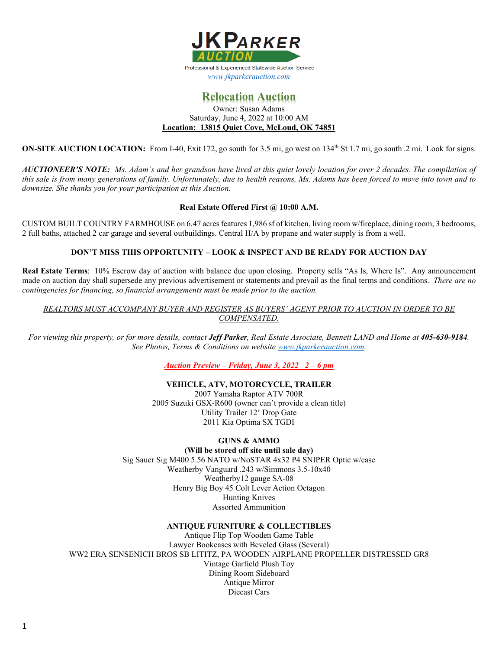

# **Relocation Auction**

#### Owner: Susan Adams Saturday, June 4, 2022 at 10:00 AM **Location: 13815 Quiet Cove, McLoud, OK 74851**

**ON-SITE AUCTION LOCATION:** From I-40, Exit 172, go south for 3.5 mi, go west on 134<sup>th</sup> St 1.7 mi, go south .2 mi. Look for signs.

*AUCTIONEER'S NOTE: Ms. Adam's and her grandson have lived at this quiet lovely location for over 2 decades. The compilation of this sale is from many generations of family. Unfortunately, due to health reasons, Ms. Adams has been forced to move into town and to downsize. She thanks you for your participation at this Auction.* 

# **Real Estate Offered First @ 10:00 A.M.**

CUSTOM BUILT COUNTRY FARMHOUSE on 6.47 acres features 1,986 sf of kitchen, living room w/fireplace, dining room, 3 bedrooms, 2 full baths, attached 2 car garage and several outbuildings. Central H/A by propane and water supply is from a well.

# **DON'T MISS THIS OPPORTUNITY – LOOK & INSPECT AND BE READY FOR AUCTION DAY**

**Real Estate Terms**: 10% Escrow day of auction with balance due upon closing. Property sells "As Is, Where Is". Any announcement made on auction day shall supersede any previous advertisement or statements and prevail as the final terms and conditions. *There are no contingencies for financing, so financial arrangements must be made prior to the auction.*

*REALTORS MUST ACCOMPANY BUYER AND REGISTER AS BUYERS' AGENT PRIOR TO AUCTION IN ORDER TO BE COMPENSATED.*

*For viewing this property, or for more details, contact Jeff Parker, Real Estate Associate, Bennett LAND and Home at 405-630-9184. See Photos, Terms & Conditions on website [www.jkparkerauction.com.](http://www.jkparkerauction.com/)* 

*Auction Preview – Friday, June 3, 2022 2 – 6 pm*

## **VEHICLE, ATV, MOTORCYCLE, TRAILER**

 Yamaha Raptor ATV 700R Suzuki GSX-R600 (owner can't provide a clean title) Utility Trailer 12' Drop Gate Kia Optima SX TGDI

## **GUNS & AMMO**

**(Will be stored off site until sale day)**

Sig Sauer Sig M400 5.56 NATO w/NoSTAR 4x32 P4 SNIPER Optic w/case Weatherby Vanguard .243 w/Simmons 3.5-10x40 Weatherby12 gauge SA-08 Henry Big Boy 45 Colt Lever Action Octagon Hunting Knives Assorted Ammunition

## **ANTIQUE FURNITURE & COLLECTIBLES**

Antique Flip Top Wooden Game Table Lawyer Bookcases with Beveled Glass (Several) WW2 ERA SENSENICH BROS SB LITITZ, PA WOODEN AIRPLANE PROPELLER DISTRESSED GR8 Vintage Garfield Plush Toy Dining Room Sideboard Antique Mirror Diecast Cars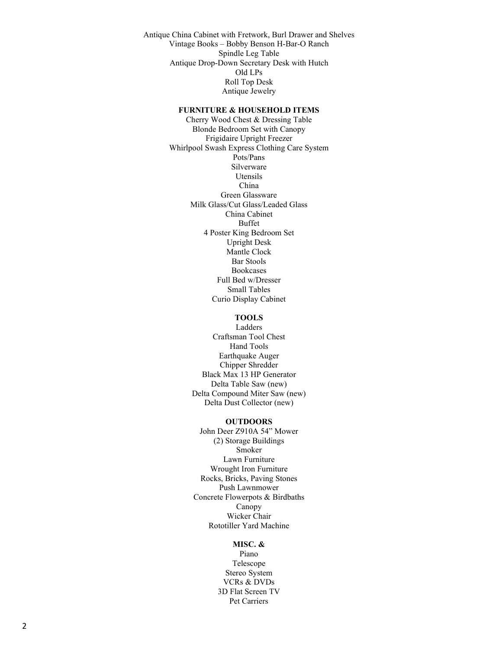Antique China Cabinet with Fretwork, Burl Drawer and Shelves Vintage Books – Bobby Benson H-Bar-O Ranch Spindle Leg Table Antique Drop-Down Secretary Desk with Hutch Old LPs Roll Top Desk Antique Jewelry

#### **FURNITURE & HOUSEHOLD ITEMS**

Cherry Wood Chest & Dressing Table Blonde Bedroom Set with Canopy Frigidaire Upright Freezer Whirlpool Swash Express Clothing Care System Pots/Pans Silverware Utensils China Green Glassware Milk Glass/Cut Glass/Leaded Glass China Cabinet Buffet 4 Poster King Bedroom Set Upright Desk Mantle Clock Bar Stools Bookcases Full Bed w/Dresser Small Tables Curio Display Cabinet

# **TOOLS**

Ladders Craftsman Tool Chest Hand Tools Earthquake Auger Chipper Shredder Black Max 13 HP Generator Delta Table Saw (new) Delta Compound Miter Saw (new) Delta Dust Collector (new)

#### **OUTDOORS**

John Deer Z910A 54" Mower (2) Storage Buildings Smoker Lawn Furniture Wrought Iron Furniture Rocks, Bricks, Paving Stones Push Lawnmower Concrete Flowerpots & Birdbaths Canopy Wicker Chair Rototiller Yard Machine

#### **MISC. &**

Piano Telescope Stereo System VCRs & DVDs 3D Flat Screen TV Pet Carriers